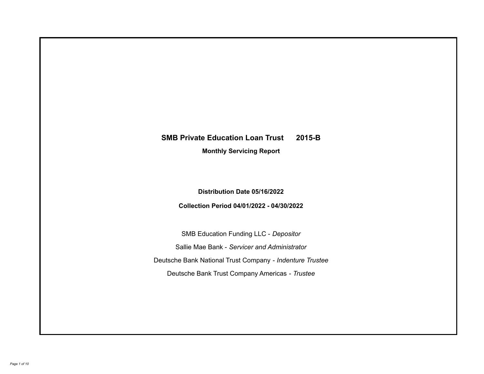# **SMB Private Education Loan Trust 2015-B**

**Monthly Servicing Report**

**Distribution Date 05/16/2022**

**Collection Period 04/01/2022 - 04/30/2022**

SMB Education Funding LLC - *Depositor* Sallie Mae Bank - *Servicer and Administrator* Deutsche Bank National Trust Company - *Indenture Trustee* Deutsche Bank Trust Company Americas - *Trustee*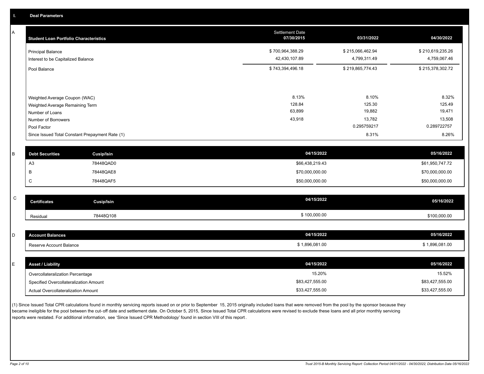A

| A<br><b>Student Loan Portfolio Characteristics</b>             |                                                 | <b>Settlement Date</b><br>07/30/2015 | 03/31/2022                       | 04/30/2022                       |
|----------------------------------------------------------------|-------------------------------------------------|--------------------------------------|----------------------------------|----------------------------------|
| <b>Principal Balance</b><br>Interest to be Capitalized Balance |                                                 | \$700,964,388.29<br>42,430,107.89    | \$215,066,462.94<br>4,799,311.49 | \$210,619,235.26<br>4,759,067.46 |
| Pool Balance                                                   |                                                 | \$743,394,496.18                     | \$219,865,774.43                 | \$215,378,302.72                 |
|                                                                |                                                 |                                      |                                  |                                  |
| Weighted Average Coupon (WAC)                                  |                                                 | 8.13%<br>128.84                      | 8.10%<br>125.30                  | 8.32%<br>125.49                  |
| Weighted Average Remaining Term                                |                                                 | 63,899                               | 19,882                           | 19,471                           |
| Number of Loans                                                |                                                 | 43,918                               | 13,782                           | 13,508                           |
| Number of Borrowers<br>Pool Factor                             |                                                 |                                      | 0.295759217                      | 0.289722757                      |
|                                                                | Since Issued Total Constant Prepayment Rate (1) |                                      | 8.31%                            | 8.26%                            |
| B<br><b>Debt Securities</b>                                    | <b>Cusip/Isin</b>                               | 04/15/2022                           |                                  | 05/16/2022                       |
| A <sub>3</sub>                                                 | 78448QAD0                                       | \$66,438,219.43                      |                                  | \$61,950,747.72                  |
| В                                                              | 78448QAE8                                       | \$70,000,000.00                      |                                  | \$70,000,000.00                  |
| C                                                              | 78448QAF5                                       | \$50,000,000.00                      |                                  | \$50,000,000.00                  |
|                                                                |                                                 |                                      |                                  |                                  |
| $\mathsf{C}$<br><b>Certificates</b>                            | Cusip/Isin                                      | 04/15/2022                           |                                  | 05/16/2022                       |
| Residual                                                       | 78448Q108                                       | \$100,000.00                         |                                  | \$100,000.00                     |
|                                                                |                                                 |                                      |                                  |                                  |
| D<br><b>Account Balances</b>                                   |                                                 | 04/15/2022                           |                                  | 05/16/2022                       |

| Reserve Account Balance  | \$1,896,081.00 | \$1,896,081.00 |
|--------------------------|----------------|----------------|
|                          |                |                |
|                          | 04/15/2022     | 05/16/2022     |
| <b>Asset / Liability</b> |                |                |

(1) Since Issued Total CPR calculations found in monthly servicing reports issued on or prior to September 15, 2015 originally included loans that were removed from the pool by the sponsor because they became ineligible for the pool between the cut-off date and settlement date. On October 5, 2015, Since Issued Total CPR calculations were revised to exclude these loans and all prior monthly servicing reports were restated. For additional information, see 'Since Issued CPR Methodology' found in section VIII of this report .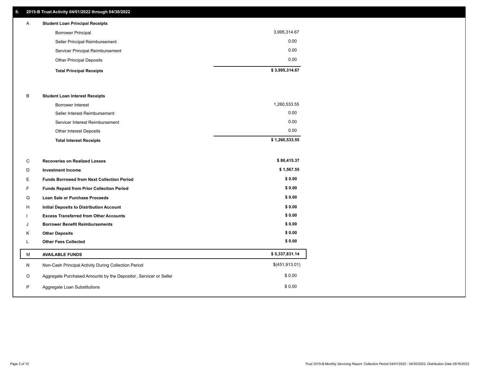## **II. 2015-B Trust Activity 04/01/2022 through 04/30/2022**

| $\mathsf{A}$ | <b>Student Loan Principal Receipts</b> |                |
|--------------|----------------------------------------|----------------|
|              | <b>Borrower Principal</b>              | 3,995,314.67   |
|              | Seller Principal Reimbursement         | 0.00           |
|              | Servicer Principal Reimbursement       | 0.00           |
|              | <b>Other Principal Deposits</b>        | 0.00           |
|              | <b>Total Principal Receipts</b>        | \$3,995,314.67 |

#### B **Student Loan Interest Receipts**

| <b>Total Interest Receipts</b>  | \$1,260,533.55 |
|---------------------------------|----------------|
| Other Interest Deposits         | 0.00           |
| Servicer Interest Reimbursement | 0.00           |
| Seller Interest Reimbursement   | 0.00           |
| <b>Borrower Interest</b>        | 1,260,533.55   |

| C | <b>Recoveries on Realized Losses</b>                             | \$80,415.37    |
|---|------------------------------------------------------------------|----------------|
| D | <b>Investment Income</b>                                         | \$1,567.55     |
| Е | <b>Funds Borrowed from Next Collection Period</b>                | \$0.00         |
| F | <b>Funds Repaid from Prior Collection Period</b>                 | \$0.00         |
| G | <b>Loan Sale or Purchase Proceeds</b>                            | \$0.00         |
| H | <b>Initial Deposits to Distribution Account</b>                  | \$0.00         |
|   | <b>Excess Transferred from Other Accounts</b>                    | \$0.00         |
| J | <b>Borrower Benefit Reimbursements</b>                           | \$0.00         |
| K | <b>Other Deposits</b>                                            | \$0.00         |
|   | <b>Other Fees Collected</b>                                      | \$0.00         |
| M | <b>AVAILABLE FUNDS</b>                                           | \$5,337,831.14 |
| N | Non-Cash Principal Activity During Collection Period             | \$(451,913.01) |
| O | Aggregate Purchased Amounts by the Depositor, Servicer or Seller | \$0.00         |
| P |                                                                  |                |
|   | Aggregate Loan Substitutions                                     | \$0.00         |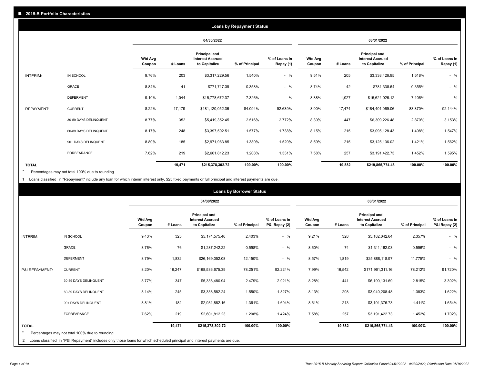|                   |                       |                          |         |                                                           | <b>Loans by Repayment Status</b> |                            |                          |         |                                                           |                |                            |
|-------------------|-----------------------|--------------------------|---------|-----------------------------------------------------------|----------------------------------|----------------------------|--------------------------|---------|-----------------------------------------------------------|----------------|----------------------------|
|                   |                       |                          |         | 04/30/2022                                                |                                  |                            |                          |         | 03/31/2022                                                |                |                            |
|                   |                       | <b>Wtd Avg</b><br>Coupon | # Loans | Principal and<br><b>Interest Accrued</b><br>to Capitalize | % of Principal                   | % of Loans in<br>Repay (1) | <b>Wtd Avg</b><br>Coupon | # Loans | Principal and<br><b>Interest Accrued</b><br>to Capitalize | % of Principal | % of Loans in<br>Repay (1) |
| INTERIM:          | IN SCHOOL             | 9.76%                    | 203     | \$3,317,229.56                                            | 1.540%                           | $-$ %                      | 9.51%                    | 205     | \$3,338,426.95                                            | 1.518%         | $-$ %                      |
|                   | GRACE                 | 8.84%                    | 41      | \$771,717.39                                              | 0.358%                           | $-$ %                      | 8.74%                    | 42      | \$781,338.64                                              | 0.355%         | $-$ %                      |
|                   | <b>DEFERMENT</b>      | 9.10%                    | 1,044   | \$15,778,672.37                                           | 7.326%                           | $-$ %                      | 8.88%                    | 1,027   | \$15,624,026.12                                           | 7.106%         | $-$ %                      |
| <b>REPAYMENT:</b> | <b>CURRENT</b>        | 8.22%                    | 17,179  | \$181,120,052.36                                          | 84.094%                          | 92.639%                    | 8.00%                    | 17,474  | \$184,401,069.06                                          | 83.870%        | 92.144%                    |
|                   | 30-59 DAYS DELINQUENT | 8.77%                    | 352     | \$5,419,352.45                                            | 2.516%                           | 2.772%                     | 8.30%                    | 447     | \$6,309,226.48                                            | 2.870%         | 3.153%                     |
|                   | 60-89 DAYS DELINQUENT | 8.17%                    | 248     | \$3,397,502.51                                            | 1.577%                           | 1.738%                     | 8.15%                    | 215     | \$3,095,128.43                                            | 1.408%         | 1.547%                     |
|                   | 90+ DAYS DELINQUENT   | 8.80%                    | 185     | \$2,971,963.85                                            | 1.380%                           | 1.520%                     | 8.59%                    | 215     | \$3,125,136.02                                            | 1.421%         | 1.562%                     |
|                   | FORBEARANCE           | 7.62%                    | 219     | \$2,601,812.23                                            | 1.208%                           | 1.331%                     | 7.58%                    | 257     | \$3,191,422.73                                            | 1.452%         | 1.595%                     |
| <b>TOTAL</b>      |                       |                          | 19,471  | \$215,378,302.72                                          | 100.00%                          | 100.00%                    |                          | 19,882  | \$219,865,774.43                                          | 100.00%        | 100.00%                    |

Percentages may not total 100% due to rounding \*

1 Loans classified in "Repayment" include any loan for which interim interest only, \$25 fixed payments or full principal and interest payments are due.

|                         |                                                                                                                              |                          |         |                                                                  | <b>Loans by Borrower Status</b> |                                |                          |         |                                                                  |                |                                |
|-------------------------|------------------------------------------------------------------------------------------------------------------------------|--------------------------|---------|------------------------------------------------------------------|---------------------------------|--------------------------------|--------------------------|---------|------------------------------------------------------------------|----------------|--------------------------------|
|                         |                                                                                                                              |                          |         | 04/30/2022                                                       |                                 |                                |                          |         | 03/31/2022                                                       |                |                                |
|                         |                                                                                                                              | <b>Wtd Avg</b><br>Coupon | # Loans | <b>Principal and</b><br><b>Interest Accrued</b><br>to Capitalize | % of Principal                  | % of Loans in<br>P&I Repay (2) | <b>Wtd Avg</b><br>Coupon | # Loans | <b>Principal and</b><br><b>Interest Accrued</b><br>to Capitalize | % of Principal | % of Loans in<br>P&I Repay (2) |
| <b>INTERIM:</b>         | IN SCHOOL                                                                                                                    | 9.43%                    | 323     | \$5,174,575.46                                                   | 2.403%                          | $-$ %                          | 9.21%                    | 328     | \$5,182,042.64                                                   | 2.357%         | $-$ %                          |
|                         | <b>GRACE</b>                                                                                                                 | 8.76%                    | 76      | \$1,287,242.22                                                   | 0.598%                          | $-$ %                          | 8.60%                    | 74      | \$1,311,162.03                                                   | 0.596%         | $-$ %                          |
|                         | <b>DEFERMENT</b>                                                                                                             | 8.79%                    | 1,832   | \$26,169,052.08                                                  | 12.150%                         | $-$ %                          | 8.57%                    | 1,819   | \$25,888,118.97                                                  | 11.775%        | $-$ %                          |
| P&I REPAYMENT:          | <b>CURRENT</b>                                                                                                               | 8.20%                    | 16,247  | \$168,536,675.39                                                 | 78.251%                         | 92.224%                        | 7.99%                    | 16,542  | \$171,961,311.16                                                 | 78.212%        | 91.720%                        |
|                         | 30-59 DAYS DELINQUENT                                                                                                        | 8.77%                    | 347     | \$5,338,480.94                                                   | 2.479%                          | 2.921%                         | 8.28%                    | 441     | \$6,190,131.69                                                   | 2.815%         | 3.302%                         |
|                         | 60-89 DAYS DELINQUENT                                                                                                        | 8.14%                    | 245     | \$3,338,582.24                                                   | 1.550%                          | 1.827%                         | 8.13%                    | 208     | \$3,040,208.48                                                   | 1.383%         | 1.622%                         |
|                         | 90+ DAYS DELINQUENT                                                                                                          | 8.81%                    | 182     | \$2,931,882.16                                                   | 1.361%                          | 1.604%                         | 8.61%                    | 213     | \$3,101,376.73                                                   | 1.411%         | 1.654%                         |
|                         | FORBEARANCE                                                                                                                  | 7.62%                    | 219     | \$2,601,812.23                                                   | 1.208%                          | 1.424%                         | 7.58%                    | 257     | \$3,191,422.73                                                   | 1.452%         | 1.702%                         |
| <b>TOTAL</b><br>$\star$ | Percentages may not total 100% due to rounding                                                                               |                          | 19,471  | \$215,378,302.72                                                 | 100.00%                         | 100.00%                        |                          | 19,882  | \$219,865,774.43                                                 | 100.00%        | 100.00%                        |
|                         | 2 Loans classified in "P&I Repayment" includes only those loans for which scheduled principal and interest payments are due. |                          |         |                                                                  |                                 |                                |                          |         |                                                                  |                |                                |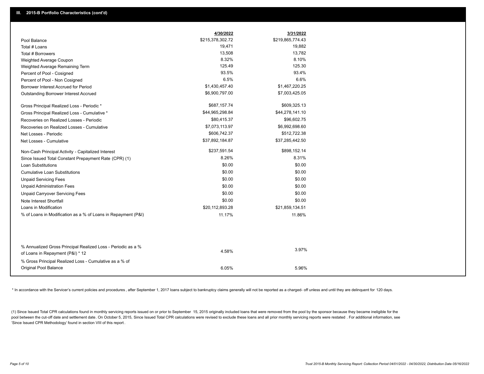|                                                                                                  | 4/30/2022        | 3/31/2022        |
|--------------------------------------------------------------------------------------------------|------------------|------------------|
| Pool Balance                                                                                     | \$215,378,302.72 | \$219,865,774.43 |
| Total # Loans                                                                                    | 19,471           | 19,882           |
| Total # Borrowers                                                                                | 13,508           | 13,782           |
| Weighted Average Coupon                                                                          | 8.32%            | 8.10%            |
| Weighted Average Remaining Term                                                                  | 125.49           | 125.30           |
| Percent of Pool - Cosigned                                                                       | 93.5%            | 93.4%            |
| Percent of Pool - Non Cosigned                                                                   | 6.5%             | 6.6%             |
| Borrower Interest Accrued for Period                                                             | \$1,430,457.40   | \$1,467,220.25   |
| Outstanding Borrower Interest Accrued                                                            | \$6,900,797.00   | \$7,003,425.05   |
| Gross Principal Realized Loss - Periodic *                                                       | \$687,157.74     | \$609,325.13     |
| Gross Principal Realized Loss - Cumulative *                                                     | \$44,965,298.84  | \$44,278,141.10  |
| Recoveries on Realized Losses - Periodic                                                         | \$80,415.37      | \$96,602.75      |
| Recoveries on Realized Losses - Cumulative                                                       | \$7,073,113.97   | \$6,992,698.60   |
| Net Losses - Periodic                                                                            | \$606,742.37     | \$512,722.38     |
| Net Losses - Cumulative                                                                          | \$37,892,184.87  | \$37,285,442.50  |
| Non-Cash Principal Activity - Capitalized Interest                                               | \$237,591.54     | \$898,152.14     |
| Since Issued Total Constant Prepayment Rate (CPR) (1)                                            | 8.26%            | 8.31%            |
| <b>Loan Substitutions</b>                                                                        | \$0.00           | \$0.00           |
| <b>Cumulative Loan Substitutions</b>                                                             | \$0.00           | \$0.00           |
| <b>Unpaid Servicing Fees</b>                                                                     | \$0.00           | \$0.00           |
| <b>Unpaid Administration Fees</b>                                                                | \$0.00           | \$0.00           |
| <b>Unpaid Carryover Servicing Fees</b>                                                           | \$0.00           | \$0.00           |
| Note Interest Shortfall                                                                          | \$0.00           | \$0.00           |
| Loans in Modification                                                                            | \$20,112,893.28  | \$21,859,134.51  |
| % of Loans in Modification as a % of Loans in Repayment (P&I)                                    | 11.17%           | 11.86%           |
|                                                                                                  |                  |                  |
| % Annualized Gross Principal Realized Loss - Periodic as a %<br>of Loans in Repayment (P&I) * 12 | 4.58%            | 3.97%            |
| % Gross Principal Realized Loss - Cumulative as a % of                                           |                  |                  |
| Original Pool Balance                                                                            | 6.05%            | 5.96%            |

\* In accordance with the Servicer's current policies and procedures, after September 1, 2017 loans subject to bankruptcy claims generally will not be reported as a charged- off unless and until they are delinquent for 120

(1) Since Issued Total CPR calculations found in monthly servicing reports issued on or prior to September 15, 2015 originally included loans that were removed from the pool by the sponsor because they became ineligible fo pool between the cut-off date and settlement date. On October 5, 2015, Since Issued Total CPR calculations were revised to exclude these loans and all prior monthly servicing reports were restated. For additional informati 'Since Issued CPR Methodology' found in section VIII of this report .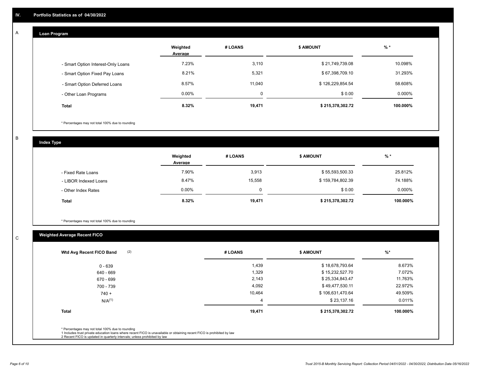## **Loan Program**

A

|                                    | Weighted<br>Average | # LOANS  | <b>\$ AMOUNT</b> | % *      |
|------------------------------------|---------------------|----------|------------------|----------|
| - Smart Option Interest-Only Loans | 7.23%               | 3,110    | \$21,749,739.08  | 10.098%  |
| - Smart Option Fixed Pay Loans     | 8.21%               | 5,321    | \$67,398,709.10  | 31.293%  |
| - Smart Option Deferred Loans      | 8.57%               | 11,040   | \$126,229,854.54 | 58.608%  |
| - Other Loan Programs              | $0.00\%$            | $\Omega$ | \$0.00           | 0.000%   |
| <b>Total</b>                       | 8.32%               | 19,471   | \$215,378,302.72 | 100.000% |

\* Percentages may not total 100% due to rounding

B

C

**Index Type**

|                       | Weighted<br>Average | # LOANS | \$ AMOUNT        | $%$ *    |
|-----------------------|---------------------|---------|------------------|----------|
| - Fixed Rate Loans    | 7.90%               | 3,913   | \$55,593,500.33  | 25.812%  |
| - LIBOR Indexed Loans | 8.47%               | 15,558  | \$159,784,802.39 | 74.188%  |
| - Other Index Rates   | $0.00\%$            |         | \$0.00           | 0.000%   |
| <b>Total</b>          | 8.32%               | 19,471  | \$215,378,302.72 | 100.000% |

\* Percentages may not total 100% due to rounding

# **Weighted Average Recent FICO**

| $0 - 639$<br>640 - 669 | 1,439<br>1,329 | \$18,678,793.64<br>\$15,232,527.70 | 8.673%   |
|------------------------|----------------|------------------------------------|----------|
|                        |                |                                    |          |
|                        |                |                                    | 7.072%   |
| 670 - 699              | 2,143          | \$25,334,843.47                    | 11.763%  |
| 700 - 739              | 4,092          | \$49,477,530.11                    | 22.972%  |
| $740 +$                | 10,464         | \$106,631,470.64                   | 49.509%  |
| $N/A^{(1)}$            | 4              | \$23,137.16                        | 0.011%   |
| <b>Total</b>           | 19,471         | \$215,378,302.72                   | 100.000% |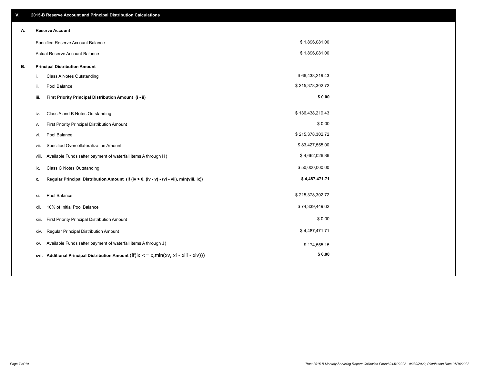| V. |      | 2015-B Reserve Account and Principal Distribution Calculations                             |                  |  |
|----|------|--------------------------------------------------------------------------------------------|------------------|--|
| Α. |      | <b>Reserve Account</b>                                                                     |                  |  |
|    |      | Specified Reserve Account Balance                                                          | \$1,896,081.00   |  |
|    |      | Actual Reserve Account Balance                                                             | \$1,896,081.00   |  |
| В. |      | <b>Principal Distribution Amount</b>                                                       |                  |  |
|    | i.   | Class A Notes Outstanding                                                                  | \$66,438,219.43  |  |
|    | ii.  | Pool Balance                                                                               | \$215,378,302.72 |  |
|    |      | First Priority Principal Distribution Amount (i - ii)<br>iii.                              | \$0.00           |  |
|    |      |                                                                                            |                  |  |
|    | iv.  | Class A and B Notes Outstanding                                                            | \$136,438,219.43 |  |
|    | ν.   | First Priority Principal Distribution Amount                                               | \$0.00           |  |
|    | vi.  | Pool Balance                                                                               | \$215,378,302.72 |  |
|    |      | Specified Overcollateralization Amount<br>vii.                                             | \$83,427,555.00  |  |
|    |      | Available Funds (after payment of waterfall items A through H)<br>viii.                    | \$4,662,026.86   |  |
|    | ix.  | <b>Class C Notes Outstanding</b>                                                           | \$50,000,000.00  |  |
|    | x.   | Regular Principal Distribution Amount (if (iv > 0, (iv - v) - (vi - vii), min(viii, ix))   | \$4,487,471.71   |  |
|    | xi.  | Pool Balance                                                                               | \$215,378,302.72 |  |
|    |      |                                                                                            | \$74,339,449.62  |  |
|    | xii. | 10% of Initial Pool Balance                                                                |                  |  |
|    |      | First Priority Principal Distribution Amount<br>xiii.                                      | \$0.00           |  |
|    |      | Regular Principal Distribution Amount<br>xiv.                                              | \$4,487,471.71   |  |
|    |      | Available Funds (after payment of waterfall items A through J)<br>XV.                      | \$174,555.15     |  |
|    |      | xvi. Additional Principal Distribution Amount (if(ix $\lt$ = x, min(xv, xi - xiii - xiv))) | \$0.00           |  |
|    |      |                                                                                            |                  |  |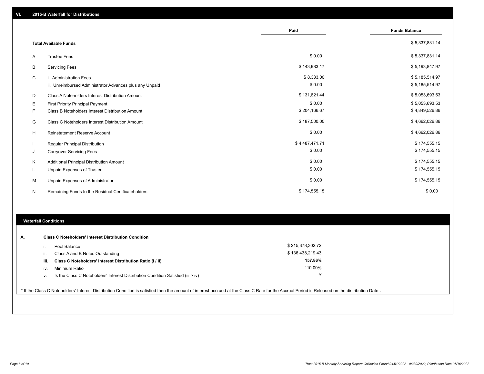|   |                                                         | Paid           | <b>Funds Balance</b> |
|---|---------------------------------------------------------|----------------|----------------------|
|   | <b>Total Available Funds</b>                            |                | \$5,337,831.14       |
| A | <b>Trustee Fees</b>                                     | \$0.00         | \$5,337,831.14       |
| В | <b>Servicing Fees</b>                                   | \$143,983.17   | \$5,193,847.97       |
| C | i. Administration Fees                                  | \$8,333.00     | \$5,185,514.97       |
|   | ii. Unreimbursed Administrator Advances plus any Unpaid | \$0.00         | \$5,185,514.97       |
| D | Class A Noteholders Interest Distribution Amount        | \$131,821.44   | \$5,053,693.53       |
| Е | <b>First Priority Principal Payment</b>                 | \$0.00         | \$5,053,693.53       |
| F | Class B Noteholders Interest Distribution Amount        | \$204,166.67   | \$4,849,526.86       |
| G | <b>Class C Noteholders Interest Distribution Amount</b> | \$187,500.00   | \$4,662,026.86       |
| H | <b>Reinstatement Reserve Account</b>                    | \$0.00         | \$4,662,026.86       |
|   | Regular Principal Distribution                          | \$4,487,471.71 | \$174,555.15         |
| J | <b>Carryover Servicing Fees</b>                         | \$0.00         | \$174,555.15         |
| Κ | Additional Principal Distribution Amount                | \$0.00         | \$174,555.15         |
|   | <b>Unpaid Expenses of Trustee</b>                       | \$0.00         | \$174,555.15         |
| м | Unpaid Expenses of Administrator                        | \$0.00         | \$174,555.15         |
| N | Remaining Funds to the Residual Certificateholders      | \$174,555.15   | \$0.00               |

## **Waterfall Conditions**

| А. | <b>Class C Noteholders' Interest Distribution Condition</b> |                                                                                    |                  |  |  |
|----|-------------------------------------------------------------|------------------------------------------------------------------------------------|------------------|--|--|
|    |                                                             | Pool Balance                                                                       | \$215,378,302.72 |  |  |
|    | Ш.                                                          | Class A and B Notes Outstanding                                                    | \$136,438,219.43 |  |  |
|    | iii.                                                        | Class C Noteholders' Interest Distribution Ratio (i / ii)                          | 157.86%          |  |  |
|    | IV.                                                         | Minimum Ratio                                                                      | 110.00%          |  |  |
|    | ٧.                                                          | Is the Class C Noteholders' Interest Distribution Condition Satisfied (iii $>$ iv) |                  |  |  |
|    |                                                             |                                                                                    |                  |  |  |

\* If the Class C Noteholders' Interest Distribution Condition is satisfied then the amount of interest accrued at the Class C Rate for the Accrual Period is Released on the distribution Date .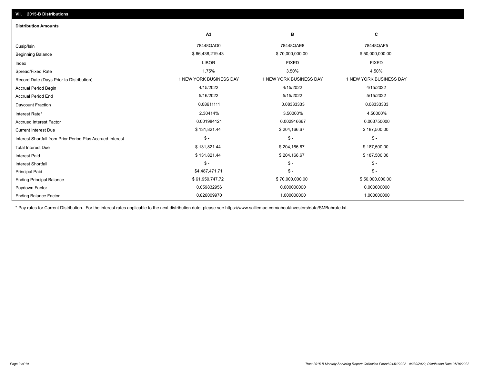| <b>Distribution Amounts</b>                                |                         |                         |                         |  |  |
|------------------------------------------------------------|-------------------------|-------------------------|-------------------------|--|--|
|                                                            | A3                      | B                       | C                       |  |  |
| Cusip/Isin                                                 | 78448QAD0               | 78448QAE8               | 78448QAF5               |  |  |
| Beginning Balance                                          | \$66,438,219.43         | \$70,000,000.00         | \$50,000,000.00         |  |  |
| Index                                                      | <b>LIBOR</b>            | <b>FIXED</b>            | <b>FIXED</b>            |  |  |
| Spread/Fixed Rate                                          | 1.75%                   | 3.50%                   | 4.50%                   |  |  |
| Record Date (Days Prior to Distribution)                   | 1 NEW YORK BUSINESS DAY | 1 NEW YORK BUSINESS DAY | 1 NEW YORK BUSINESS DAY |  |  |
| <b>Accrual Period Begin</b>                                | 4/15/2022               | 4/15/2022               | 4/15/2022               |  |  |
| <b>Accrual Period End</b>                                  | 5/16/2022               | 5/15/2022               | 5/15/2022               |  |  |
| Daycount Fraction                                          | 0.08611111              | 0.08333333              | 0.08333333              |  |  |
| Interest Rate*                                             | 2.30414%                | 3.50000%                | 4.50000%                |  |  |
| <b>Accrued Interest Factor</b>                             | 0.001984121             | 0.002916667             | 0.003750000             |  |  |
| <b>Current Interest Due</b>                                | \$131,821.44            | \$204,166.67            | \$187,500.00            |  |  |
| Interest Shortfall from Prior Period Plus Accrued Interest | $\mathsf{\$}$ -         | $$ -$                   | $\mathsf{\$}$ -         |  |  |
| <b>Total Interest Due</b>                                  | \$131,821.44            | \$204,166.67            | \$187,500.00            |  |  |
| <b>Interest Paid</b>                                       | \$131,821.44            | \$204,166.67            | \$187,500.00            |  |  |
| Interest Shortfall                                         | $\mathsf{\$}$ -         | $$ -$                   | $$ -$                   |  |  |
| <b>Principal Paid</b>                                      | \$4,487,471.71          | $$ -$                   | $$ -$                   |  |  |
| <b>Ending Principal Balance</b>                            | \$61,950,747.72         | \$70,000,000.00         | \$50,000,000.00         |  |  |
| Paydown Factor                                             | 0.059832956             | 0.000000000             | 0.000000000             |  |  |
| <b>Ending Balance Factor</b>                               | 0.826009970             | 1.000000000             | 1.000000000             |  |  |

\* Pay rates for Current Distribution. For the interest rates applicable to the next distribution date, please see https://www.salliemae.com/about/investors/data/SMBabrate.txt.

**VII. 2015-B Distributions**